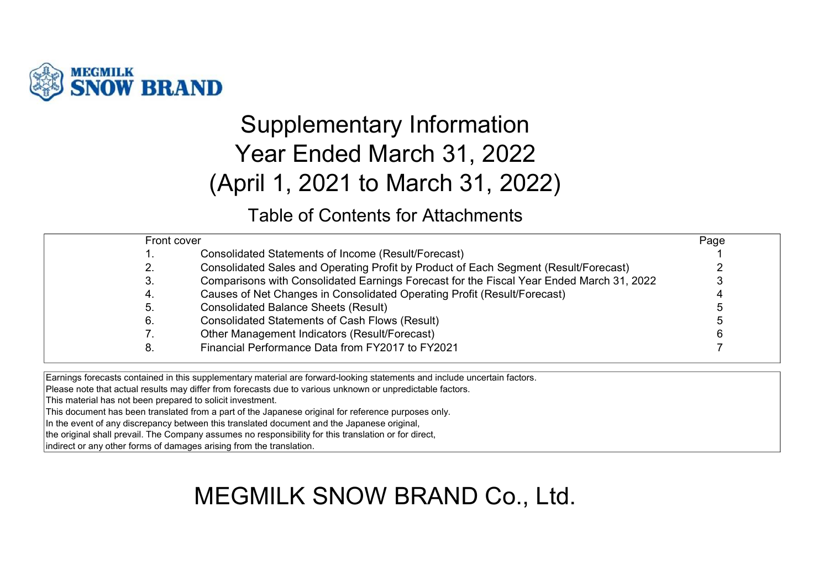

# Supplementary Information Year Ended March 31, 2022 (April 1, 2021 to March 31, 2022)

### Table of Contents for Attachments

| Front cover |                                                                                          | Page |
|-------------|------------------------------------------------------------------------------------------|------|
| . .         | Consolidated Statements of Income (Result/Forecast)                                      |      |
| 2.          | Consolidated Sales and Operating Profit by Product of Each Segment (Result/Forecast)     |      |
| 3.          | Comparisons with Consolidated Earnings Forecast for the Fiscal Year Ended March 31, 2022 |      |
| 4.          | Causes of Net Changes in Consolidated Operating Profit (Result/Forecast)                 |      |
| 5.          | <b>Consolidated Balance Sheets (Result)</b>                                              |      |
| 6.          | <b>Consolidated Statements of Cash Flows (Result)</b>                                    |      |
| 7.          | Other Management Indicators (Result/Forecast)                                            |      |
| 8.          | Financial Performance Data from FY2017 to FY2021                                         |      |
|             |                                                                                          |      |

Earnings forecasts contained in this supplementary material are forward-looking statements and include uncertain factors.

Please note that actual results may differ from forecasts due to various unknown or unpredictable factors.

This material has not been prepared to solicit investment.

This document has been translated from a part of the Japanese original for reference purposes only.

In the event of any discrepancy between this translated document and the Japanese original,

the original shall prevail. The Company assumes no responsibility for this translation or for direct,

indirect or any other forms of damages arising from the translation.

# MEGMILK SNOW BRAND Co., Ltd.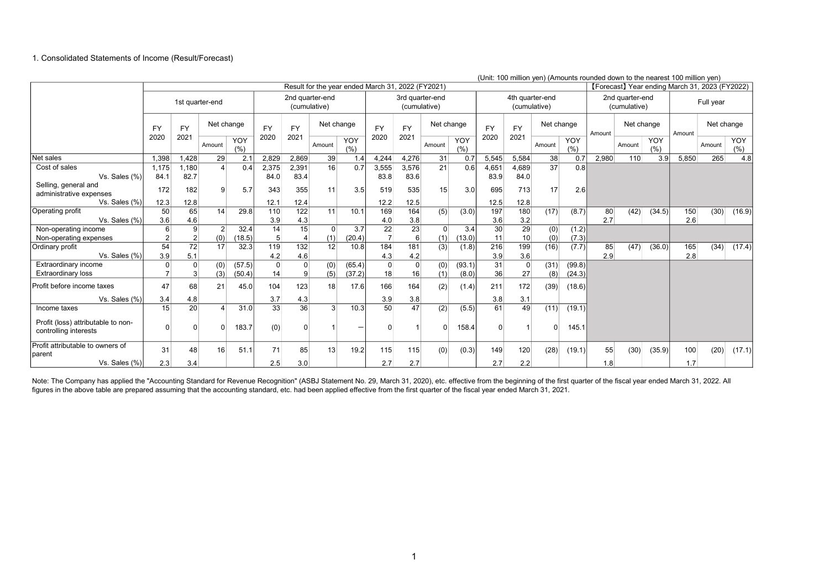#### 1. Consolidated Statements of Income (Result/Forecast)

|                                                             |           |                 |                |            |                |                |                                 |            | Result for the year ended March 31, 2022 (FY2021) |                                 |            |            |           |                                 |            |                   |        | onii. Tuu miiliuli yeri) (Amuuniis Tuuriued duwri tu the hearest Tuu miiliuli yeri)<br>[Forecast] Year ending March 31, 2023 (FY2022) |             |        |            |             |
|-------------------------------------------------------------|-----------|-----------------|----------------|------------|----------------|----------------|---------------------------------|------------|---------------------------------------------------|---------------------------------|------------|------------|-----------|---------------------------------|------------|-------------------|--------|---------------------------------------------------------------------------------------------------------------------------------------|-------------|--------|------------|-------------|
|                                                             |           | 1st quarter-end |                |            |                |                | 2nd quarter-end<br>(cumulative) |            |                                                   | 3rd quarter-end<br>(cumulative) |            |            |           | 4th quarter-end<br>(cumulative) |            |                   |        | 2nd quarter-end<br>(cumulative)                                                                                                       |             |        | Full year  |             |
|                                                             | <b>FY</b> | <b>FY</b>       | Net change     |            | <b>FY</b>      | <b>FY</b>      |                                 | Net change | <b>FY</b>                                         | <b>FY</b>                       | Net change |            | <b>FY</b> | <b>FY</b>                       | Net change |                   | Amount | Net change                                                                                                                            |             | Amount | Net change |             |
|                                                             | 2020      | 2021            | Amount         | YOY<br>(%) | 2020           | 2021           | Amount                          | YOY<br>(%) | 2020                                              | 2021                            | Amount     | YOY<br>(%) | 2020      | 2021                            | Amount     | <b>YOY</b><br>(%) |        | Amount                                                                                                                                | YOY<br>(% ) |        | Amount     | YOY<br>(% ) |
| Net sales                                                   | 1.398     | 1.428           | 29             | 2.7        | 2.829          | 2.869          | 39                              | 1.4        | 4,244                                             | 4.276                           | 31         | 0.7        | 5,545     | 5.584                           | 38         | 0.7               | 2,980  | 110                                                                                                                                   | 3.9         | 5,850  | 265        | 4.8         |
| Cost of sales                                               | 1,175     | 1.180           |                | 0.4        | 2,375          | 2,391          | 16                              | 0.7        | 3,555                                             | 3,576                           | 21         | 0.6        | 4,651     | 4.689                           | 37         | 0.8               |        |                                                                                                                                       |             |        |            |             |
| Vs. Sales (%)                                               | 84.1      | 82.7            |                |            | 84.0           | 83.4           |                                 |            | 83.8                                              | 83.6                            |            |            | 83.9      | 84.0                            |            |                   |        |                                                                                                                                       |             |        |            |             |
| Selling, general and<br>administrative expenses             | 172       | 182             | 9              | 5.7        | 343            | 355            | 11                              | 3.5        | 519                                               | 535                             | 15         | 3.0        | 695       | 713                             | 17         | 2.6               |        |                                                                                                                                       |             |        |            |             |
| Vs. Sales (%)                                               | 12.3      | 12.8            |                |            | 12.1           | 12.4           |                                 |            | 12.2                                              | 12.5                            |            |            | 12.5      | 12.8                            |            |                   |        |                                                                                                                                       |             |        |            |             |
| Operating profit                                            | 50        | 65              | 14             | 29.8       | 110            | 122            | 11                              | 10.1       | 169                                               | 164                             | (5)        | (3.0)      | 197       | 180                             | (17)       | (8.7)             | 80     | (42)                                                                                                                                  | (34.5)      | 150    | (30)       | (16.9)      |
| Vs. Sales (%)                                               | 3.6       | 4.6             |                |            | 3.9            | 4.3            |                                 |            | 4.0                                               | 3.8                             |            |            | 3.6       | 3.2                             |            |                   | 2.7    |                                                                                                                                       |             | 2.6    |            |             |
| Non-operating income                                        | 6         | 9               | $\overline{2}$ | 32.4       | 14             | 15             | $\Omega$                        | 3.7        | 22                                                | 23                              | $\Omega$   | 3.4        | 30        | 29                              | (0)        | (1.2)             |        |                                                                                                                                       |             |        |            |             |
| Non-operating expenses                                      |           | 2               | (0)            | (18.5)     | 5 <sup>5</sup> | $\overline{4}$ | (1)                             | (20.4)     | $\overline{7}$                                    | $6 \mid$                        | (1)        | 13.0)      | 11        | 10 <sup>1</sup>                 | (0)        | (7.3)             |        |                                                                                                                                       |             |        |            |             |
| Ordinary profit                                             | 54        | 72              | 17             | 32.3       | 119            | 132            | 12                              | 10.8       | 184                                               | 181                             | (3)        | (1.8)      | 216       | 199                             | (16)       | (7.7)             | 85     | (47)                                                                                                                                  | (36.0)      | 165    | (34)       | (17.4)      |
| Vs. Sales (%)                                               | 3.9       | 5.1             |                |            | 4.2            | 4.6            |                                 |            | 4.3                                               | 4.2                             |            |            | 3.9       | 3.6                             |            |                   | 2.9    |                                                                                                                                       |             | 2.8    |            |             |
| Extraordinary income                                        |           | $\Omega$        | (0)            | (57.5)     | $\Omega$       | $\Omega$       | (0)                             | (65.4)     | $\Omega$                                          | $\mathbf 0$                     | (0)        | (93.1)     | 31        | $\Omega$                        | (31)       | (99.8)            |        |                                                                                                                                       |             |        |            |             |
| <b>Extraordinary loss</b>                                   |           | 3               | (3)            | (50.4)     | 14             | 9              | (5)                             | (37.2)     | 18                                                | 16                              | (1)        | (8.0)      | 36        | 27                              | (8)        | (24.3)            |        |                                                                                                                                       |             |        |            |             |
| Profit before income taxes                                  | 47        | 68              | 21             | 45.0       | 104            | 123            | 18                              | 17.6       | 166                                               | 164                             | (2)        | (1.4)      | 211       | 172                             | (39)       | (18.6)            |        |                                                                                                                                       |             |        |            |             |
| Vs. Sales (%)                                               | 3.4       | 4.8             |                |            | 3.7            | 4.3            |                                 |            | 3.9                                               | 3.8                             |            |            | 3.8       | 3.1                             |            |                   |        |                                                                                                                                       |             |        |            |             |
| Income taxes                                                | 15        | 20              | $\overline{4}$ | 31.0       | 33             | 36             | $\mathcal{E}$                   | 10.3       | 50                                                | 47                              | (2)        | (5.5)      | 61        | 49                              | (11)       | (19.1)            |        |                                                                                                                                       |             |        |            |             |
| Profit (loss) attributable to non-<br>controlling interests | n         |                 | $\Omega$       | 183.7      | (0)            | $\Omega$       |                                 |            |                                                   |                                 | $\Omega$   | 158.4      | $\Omega$  |                                 |            | 145.1             |        |                                                                                                                                       |             |        |            |             |
| Profit attributable to owners of<br>Iparent                 | 31        | 48              | 16             | 51.1       | 71             | 85             | 13                              | 19.2       | 115                                               | 115                             | (0)        | (0.3)      | 149       | 120                             | (28)       | (19.1)            | 55     | (30)                                                                                                                                  | (35.9)      | 100    | (20)       | (17.1)      |
| Vs. Sales (%)                                               | 2.3       | 3.4             |                |            | 2.5            | 3.0            |                                 |            | 2.7                                               | 2.7                             |            |            | 2.7       | 2.2                             |            |                   | 1.8    |                                                                                                                                       |             | 1.7    |            |             |

(Unit: 100 million yen) (Amounts rounded down to the nearest 100 million yen)

Note: The Company has applied the "Accounting Standard for Revenue Recognition" (ASBJ Statement No. 29, March 31, 2020), etc. effective from the beginning of the first quarter of the fiscal year ended March 31, 2022. All figures in the above table are prepared assuming that the accounting standard, etc. had been applied effective from the first quarter of the fiscal year ended March 31, 2021.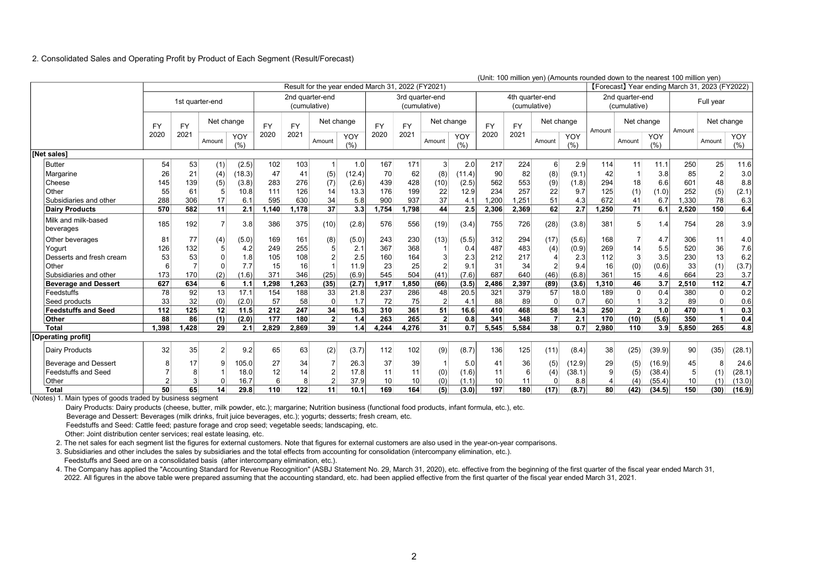#### 2. Consolidated Sales and Operating Profit by Product of Each Segment (Result/Forecast)

|                                  | (Unit: 100 million yen) (Amounts rounded down to the nearest 100 million yen)<br>[Forecast] Year ending March 31, 2023 (FY2022)<br>Result for the year ended March 31, 2022 (FY2021) |           |                 |             |           |           |                                 |            |           |                                 |                |            |           |                 |                |            |        |                                 |            |                 |                |            |
|----------------------------------|--------------------------------------------------------------------------------------------------------------------------------------------------------------------------------------|-----------|-----------------|-------------|-----------|-----------|---------------------------------|------------|-----------|---------------------------------|----------------|------------|-----------|-----------------|----------------|------------|--------|---------------------------------|------------|-----------------|----------------|------------|
|                                  |                                                                                                                                                                                      |           |                 |             |           |           |                                 |            |           |                                 |                |            |           |                 |                |            |        |                                 |            |                 |                |            |
|                                  |                                                                                                                                                                                      |           | 1st quarter-end |             |           |           | 2nd quarter-end<br>(cumulative) |            |           | 3rd quarter-end<br>(cumulative) |                |            |           | 4th quarter-end | (cumulative)   |            |        | 2nd quarter-end<br>(cumulative) |            |                 | Full year      |            |
|                                  | <b>FY</b>                                                                                                                                                                            | <b>FY</b> | Net change      |             | <b>FY</b> | <b>FY</b> | Net change                      |            | <b>FY</b> | <b>FY</b>                       | Net change     |            | <b>FY</b> | <b>FY</b>       | Net change     |            | Amount | Net change                      |            | Amount          | Net change     |            |
|                                  | 2020                                                                                                                                                                                 | 2021      | Amount          | YOY<br>(% ) | 2020      | 2021      | Amount                          | YOY<br>(%) | 2020      | 2021                            | Amount         | YOY<br>(%) | 2020      | 2021            | Amount         | YOY<br>(%) |        | Amount                          | YOY<br>(%) |                 | Amount         | YOY<br>(%) |
| <b>INet sales1</b>               |                                                                                                                                                                                      |           |                 |             |           |           |                                 |            |           |                                 |                |            |           |                 |                |            |        |                                 |            |                 |                |            |
| <b>Butter</b>                    | 54                                                                                                                                                                                   | 53        | (1)             | (2.5)       | 102       | 103       | $\mathbf 1$                     | 1.0        | 167       | 171                             | 3 <sup>1</sup> | 2.0        | 217       | 224             | 6              | 2.9        | 114    | 11                              | 11.1       | 250             | 25             | 11.6       |
| Margarine                        | 26                                                                                                                                                                                   | 21        | (4)             | (18.3)      | 47        | 41        | (5)                             | (12.4)     | 70        | 62                              | (8)            | (11.4)     | 90        | 82              | (8)            | (9.1)      | 42     |                                 | 3.8        | 85              | $\overline{2}$ | 3.0        |
| Cheese                           | 145                                                                                                                                                                                  | 139       | (5)             | (3.8)       | 283       | 276       | (7)                             | (2.6)      | 439       | 428                             | (10)           | (2.5)      | 562       | 553             | (9)            | (1.8)      | 294    | 18                              | 6.6        | 601             | 48             | 8.8        |
| Other                            | 55                                                                                                                                                                                   | 61        | 5               | 10.8        | 111       | 126       | 14                              | 13.3       | 176       | 199                             | 22             | 12.9       | 234       | 257             | 22             | 9.7        | 125    | (1)                             | (1.0)      | 252             | (5)            | (2.1)      |
| Subsidiaries and other           | 288                                                                                                                                                                                  | 306       | 17              | 6.1         | 595       | 630       | 34                              | 5.8        | 900       | 937                             | 37             | 4.1        | .200      | 1.251           | 51             | 4.3        | 672    | 41                              | 6.7        | 1,330           | 78             | 6.3        |
| <b>Dairy Products</b>            | 570                                                                                                                                                                                  | 582       | 11              | 2.1         | 1,140     | 1,178     | 37                              | 3.3        | 1,754     | 1,798                           | 44             | 2.5        | 2,306     | 2,369           | 62             | 2.7        | 1,250  | 71                              | 6.1        | 2,520           | 150            | 6.4        |
| Milk and milk-based<br>beverages | 185                                                                                                                                                                                  | 192       | $\overline{7}$  | 3.8         | 386       | 375       | (10)                            | (2.8)      | 576       | 556                             | (19)           | (3.4)      | 755       | 726             | (28)           | (3.8)      | 381    | 5                               | 1.4        | 754             | 28             | 3.9        |
| Other beverages                  | 81                                                                                                                                                                                   | 77        | (4)             | (5.0)       | 169       | 161       | (8)                             | (5.0)      | 243       | 230                             | (13)           | (5.5)      | 312       | 294             | (17)           | (5.6)      | 168    |                                 | 4.7        | 306             | 11             | 4.0        |
| Yogurt                           | 126                                                                                                                                                                                  | 132       | 5               | 4.2         | 249       | 255       |                                 | 2.1        | 367       | 368                             |                | 0.4        | 487       | 483             | (4)            | (0.9)      | 269    | 14                              | 5.5        | 520             | 36             | 7.6        |
| Desserts and fresh cream         | 53                                                                                                                                                                                   | 53        | $\Omega$        | 1.8         | 105       | 108       |                                 | 2.5        | 160       | 164                             | 3              | 2.3        | 212       | 217             |                | 2.3        | 112    | 3                               | 3.5        | 230             | 13             | 6.2        |
| Other                            |                                                                                                                                                                                      |           | $\Omega$        | 7.7         | 15        | 16        |                                 | 11.9       | 23        | 25                              | $\overline{2}$ | 9.1        | 31        | 34              | $\overline{2}$ | 9.4        | 16     | (0)                             | (0.6)      | 33              | (1)            | (3.7)      |
| Subsidiaries and other           | 173                                                                                                                                                                                  | 170       | (2)             | (1.6)       | 371       | 346       | (25)                            | (6.9)      | 545       | 504                             | (41)           | (7.6)      | 687       | 640             | (46)           | (6.8)      | 361    | 15                              | 4.6        | 664             | 23             | 3.7        |
| <b>Beverage and Dessert</b>      | 627                                                                                                                                                                                  | 634       | 6               | 1.1         | 1.298     | .263      | (35)                            | (2.7)      | 1,917     | 1,850                           | (66)           | (3.5)      | 2.486     | 2,397           | (89)           | (3.6)      | 1,310  | 46                              | 3.7        | 2,510           | 112            | 4.7        |
| Feedstuffs                       | 78                                                                                                                                                                                   | 92        | 13              | 17.1        | 154       | 188       | 33                              | 21.8       | 237       | 286                             | 48             | 20.5       | 321       | 379             | 57             | 18.0       | 189    | $\Omega$                        | 0.4        | 380             | $\overline{0}$ | 0.2        |
| Seed products                    | 33                                                                                                                                                                                   | 32        | (0)             | (2.0)       | 57        | 58        | $\Omega$                        | 1.7        | 72        | 75                              | 2 <sup>2</sup> | 4.1        | 88        | 89              | $\mathbf 0$    | 0.7        | 60     |                                 | 3.2        | 89              | 0              | 0.6        |
| <b>Feedstuffs and Seed</b>       | 112                                                                                                                                                                                  | 125       | 12              | 11.5        | 212       | 247       | 34                              | 16.3       | 310       | 361                             | 51             | 16.6       | 410       | 468             | 58             | 14.3       | 250    | 2 <sup>1</sup>                  | 1.0        | 470             | $\overline{1}$ | 0.3        |
| Other                            | 88                                                                                                                                                                                   | 86        | (1)             | (2.0)       | 177       | 180       | $\mathbf{2}$                    | 1.4        | 263       | 265                             | $\overline{2}$ | 0.8        | 341       | 348             | $\overline{7}$ | 2.1        | 170    | (10)                            | (5.6)      | 350             | 1              | 0.4        |
| <b>Total</b>                     | 1.398                                                                                                                                                                                | 1.428     | 29              | 2.1         | 2,829     | 2.869     | 39                              | 1.4        | 4,244     | 4,276                           | 31             | 0.7        | 5.545     | 5.584           | 38             | 0.7        | 2,980  | 110                             | 3.9        | 5,850           | 265            | 4.8        |
| [Operating profit]               |                                                                                                                                                                                      |           |                 |             |           |           |                                 |            |           |                                 |                |            |           |                 |                |            |        |                                 |            |                 |                |            |
| <b>Dairy Products</b>            | 32                                                                                                                                                                                   | 35        | $\overline{2}$  | 9.2         | 65        | 63        | (2)                             | (3.7)      | 112       | 102                             | (9)            | (8.7)      | 136       | 125             | (11)           | (8.4)      | 38     | (25)                            | (39.9)     | 90 <sup>°</sup> | (35)           | (28.1)     |
| Beverage and Dessert             |                                                                                                                                                                                      | 17        | 9               | 105.0       | 27        | 34        |                                 | 26.3       | 37        | 39                              |                | 5.0        | 41        | 36              | (5)            | (12.9)     | 29     | (5)                             | (16.9)     | 45              | 8              | 24.6       |
| <b>Feedstuffs and Seed</b>       |                                                                                                                                                                                      |           |                 | 18.0        | 12        | 14        | $\overline{2}$                  | 17.8       | 11        | 11                              | (0)            | (1.6)      | 11        | 6               | (4)            | (38.1)     | 9      | (5)                             | (38.4)     | 5               | (1)            | (28.1)     |
| Other                            |                                                                                                                                                                                      | 3         | $\Omega$        | 16.7        | 6         | 8         | $\overline{2}$                  | 37.9       | 10        | 10                              | (0)            | (1.1)      | 10        | 11              | $\Omega$       | 8.8        |        | (4)                             | (55.4)     | 10              | (1)            | (13.0)     |
| Total                            | 50                                                                                                                                                                                   | 65        | 14              | 29.8        | 110       | 122       | 11                              | 10.1       | 169       | 164                             | (5)            | (3.0)      | 197       | 180             | (17)           | (8.7)      | 80     | (42)                            | (34.5)     | 150             | (30)           | (16.9)     |

(Notes) 1. Main types of goods traded by business segment

Dairy Products: Dairy products (cheese, butter, milk powder, etc.); margarine; Nutrition business (functional food products, infant formula, etc.), etc.

Beverage and Dessert: Beverages (milk drinks, fruit juice beverages, etc.); yogurts; desserts; fresh cream, etc.

Feedstuffs and Seed: Cattle feed; pasture forage and crop seed; vegetable seeds; landscaping, etc.

Other: Joint distribution center services; real estate leasing, etc.

2. The net sales for each segment list the figures for external customers. Note that figures for external customers are also used in the year-on-year comparisons.

3. Subsidiaries and other includes the sales by subsidiaries and the total effects from accounting for consolidation (intercompany elimination, etc.).

Feedstuffs and Seed are on a consolidated basis (after intercompany elimination, etc.).

 4. The Company has applied the "Accounting Standard for Revenue Recognition" (ASBJ Statement No. 29, March 31, 2020), etc. effective from the beginning of the first quarter of the fiscal year ended March 31, 2022. All figures in the above table were prepared assuming that the accounting standard, etc. had been applied effective from the first quarter of the fiscal year ended March 31, 2021.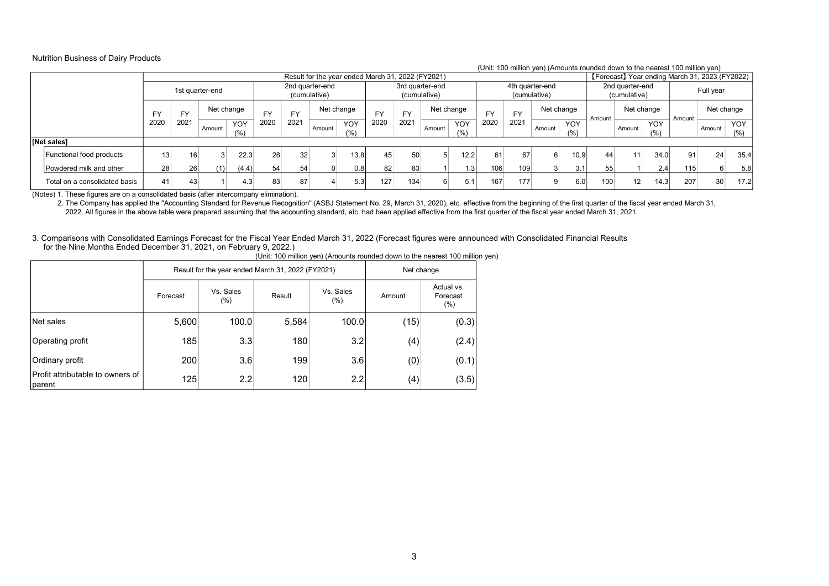#### Nutrition Business of Dairy Products

#### (Unit: 100 million yen) (Amounts rounded down to the nearest 100 million yen)

| (OTHE TOO THINGH YOU) (ANTIOQHES FOUNDED GOWN TO THE HEATEST TOO THINGH YOU)<br>[Forecast] Year ending March 31, 2023 (FY2022)<br>Result for the year ended March 31, 2022 (FY2021) |              |                      |                 |       |           |           |                                 |       |           |           |                                 |               |      |           |                                 |      |        |                                 |      |        |              |      |
|-------------------------------------------------------------------------------------------------------------------------------------------------------------------------------------|--------------|----------------------|-----------------|-------|-----------|-----------|---------------------------------|-------|-----------|-----------|---------------------------------|---------------|------|-----------|---------------------------------|------|--------|---------------------------------|------|--------|--------------|------|
|                                                                                                                                                                                     |              |                      |                 |       |           |           |                                 |       |           |           |                                 |               |      |           |                                 |      |        |                                 |      |        |              |      |
|                                                                                                                                                                                     |              |                      | 1st quarter-end |       |           |           | 2nd quarter-end<br>(cumulative) |       |           |           | 3rd quarter-end<br>(cumulative) |               |      |           | 4th quarter-end<br>(cumulative) |      |        | 2nd quarter-end<br>(cumulative) |      |        | Full year    |      |
|                                                                                                                                                                                     | FY           | FY                   | Net change      |       | <b>EV</b> | <b>FY</b> | Net change                      |       | <b>FY</b> | <b>FY</b> | Net change                      |               | EV   | <b>FY</b> | Net change                      |      | Amount | Net change                      |      | Amount | Net change   |      |
|                                                                                                                                                                                     | 2021<br>2020 | YOY<br>Amount<br>(%) |                 | 2020  | 2021      | Amount    | YOY<br>(% )                     | 2020  | 2021      | Amount    | <b>YOY</b><br>(%)               | 2020          | 2021 | Amount    | YOY<br>(%)                      |      | Amount | <b>YOY</b><br>(%)               |      | Amount | YOY  <br>(%) |      |
| [Net sales]                                                                                                                                                                         |              |                      |                 |       |           |           |                                 |       |           |           |                                 |               |      |           |                                 |      |        |                                 |      |        |              |      |
| Functional food products                                                                                                                                                            | 13           | 16                   |                 | 22.3  | 28        | 32        |                                 | 13.81 | 45        | 50        |                                 | 12.2          | 61   | 67        | 6                               | 10.9 | 44     | 11                              | 34.0 | 91     | 24           | 35.4 |
| Powdered milk and other                                                                                                                                                             | 28           | 26                   | (1)             | (4.4) | 54        | 54        |                                 | 0.8   | 82        | 83        |                                 | $1.3^{\circ}$ | 106  | 109       |                                 | 3.1  | 55     |                                 | 2.4  | 115    | 6            | 5.8  |
| Total on a consolidated basis                                                                                                                                                       | 41           | 43                   |                 | 4.3   | 83        | 87        |                                 | 5.3   | 127       | 134       |                                 | 5.1           | 167  | 177       |                                 | 6.0  | 100    | 12 <sub>1</sub>                 | 14.3 | 207    | 30           | 17.2 |

(Notes) 1. These figures are on a consolidated basis (after intercompany elimination).

2. The Company has applied the "Accounting Standard for Revenue Recognition" (ASBJ Statement No. 29, March 31, 2020), etc. effective from the beginning of the first quarter of the fiscal year ended March 31,

2022. All figures in the above table were prepared assuming that the accounting standard, etc. had been applied effective from the first quarter of the fiscal year ended March 31, 2021.

3. Comparisons with Consolidated Earnings Forecast for the Fiscal Year Ended March 31, 2022 (Forecast figures were announced with Consolidated Financial Results for the Nine Months Ended December 31, 2021, on February 9, 2022.)

|                                             |          |                      | Result for the year ended March 31, 2022 (FY2021) |                     | Net change |                                  |  |  |
|---------------------------------------------|----------|----------------------|---------------------------------------------------|---------------------|------------|----------------------------------|--|--|
|                                             | Forecast | Vs. Sales<br>$(\% )$ | Result                                            | Vs. Sales<br>$(\%)$ | Amount     | Actual vs.<br>Forecast<br>$(\%)$ |  |  |
| Net sales                                   | 5,600    | 100.0                | 5,584                                             | 100.0               | (15)       | (0.3)                            |  |  |
| Operating profit                            | 185      | 3.3                  | 180                                               | 3.2                 | (4)        | (2.4)                            |  |  |
| Ordinary profit                             | 200      | 3.6                  | 199                                               | 3.6                 | (0)        | (0.1)                            |  |  |
| Profit attributable to owners of<br> parent | 125      | 2.2                  | 120                                               | 2.2                 | (4)        | (3.5)                            |  |  |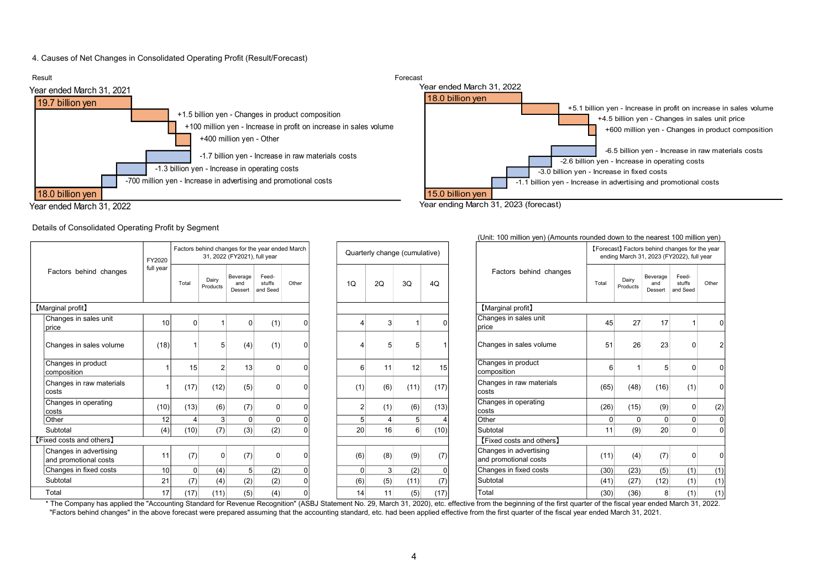#### 4. Causes of Net Changes in Consolidated Operating Profit (Result/Forecast)



(Unit: 100 million yen) (Amounts rounded down to the nearest 100 million yen)

#### Details of Consolidated Operating Profit by Segment

|                                                 | FY2020    |                |                   | 31, 2022 (FY2021), full year | Factors behind changes for the year ended March |              |                | Quarterly change (cumulative) |                  |          |                                                 |                |                   | [Forecast] Factors behind changes for the year<br>ending March 31, 2023 (FY2022), full year |                             |       |
|-------------------------------------------------|-----------|----------------|-------------------|------------------------------|-------------------------------------------------|--------------|----------------|-------------------------------|------------------|----------|-------------------------------------------------|----------------|-------------------|---------------------------------------------------------------------------------------------|-----------------------------|-------|
| Factors behind changes                          | full year | Total          | Dairy<br>Products | Beverage<br>and<br>Dessert   | Feed-<br>stuffs<br>and Seed                     | Other        | 1Q             | 2Q                            | 3Q               | 4Q       | Factors behind changes                          | Total          | Dairy<br>Products | Beverage<br>and<br>Dessert                                                                  | Feed-<br>stuffs<br>and Seed | Other |
| [Marginal profit]                               |           |                |                   |                              |                                                 |              |                |                               |                  |          | [Marginal profit]                               |                |                   |                                                                                             |                             |       |
| Changes in sales unit<br> price                 | 10        | $\Omega$       |                   | $\Omega$                     | (1)                                             |              |                | 3                             |                  |          | Changes in sales unit<br>price                  | 45             | 27                | 17                                                                                          |                             |       |
| Changes in sales volume                         | (18)      |                | 5                 | (4)                          | (1)                                             |              |                |                               |                  |          | Changes in sales volume                         | 51             | 26                | 23                                                                                          |                             |       |
| Changes in product<br>Icomposition              |           | 15             | $\overline{2}$    | 13                           | $\Omega$                                        | n            | 6              | 11                            | 12               | 15       | Changes in product<br>composition               | 6              |                   | 5                                                                                           | $\Omega$                    |       |
| Changes in raw materials<br>lcosts              |           | (17)           | (12)              | (5)                          |                                                 |              | (1)            | (6)                           | (11)             | (17)     | Changes in raw materials<br>costs               | (65)           | (48)              | (16)                                                                                        | (1)                         |       |
| Changes in operating<br>lcosts                  | (10)      | (13)           | (6)               | (7)                          | 0                                               | <sup>0</sup> | $\overline{2}$ | (1)                           | (6)              | (13)     | Changes in operating<br>costs                   | (26)           | (15)              | (9)                                                                                         | $\overline{0}$              | (2)   |
| Other                                           | 12        | $\Delta$       | 3 <sup>1</sup>    | $\overline{0}$               | $\overline{0}$                                  |              | 5 <sup>5</sup> | 4                             | 5 <sup>5</sup>   |          | Other                                           | $\overline{0}$ | $\overline{0}$    | $\overline{0}$                                                                              | $\overline{0}$              |       |
| Subtotal                                        | (4)       | (10)           | (7)               | (3)                          | (2)                                             |              | 20             | 16                            | $6 \overline{6}$ | (10)     | Subtotal                                        | 11             | (9)               | 20                                                                                          | $\overline{0}$              |       |
| [Fixed costs and others]                        |           |                |                   |                              |                                                 |              |                |                               |                  |          | [Fixed costs and others]                        |                |                   |                                                                                             |                             |       |
| Changes in advertising<br>and promotional costs | 11        | (7)            | 0                 | (7)                          |                                                 |              | (6)            | (8)                           | (9)              | (7)      | Changes in advertising<br>and promotional costs | (11)           | (4)               | (7)                                                                                         |                             |       |
| Changes in fixed costs                          | 10        | $\overline{0}$ | (4)               | 5 <sup>1</sup>               | (2)                                             |              | $\overline{0}$ | $\mathbf{3}$                  | (2)              | $\Omega$ | Changes in fixed costs                          | (30)           | (23)              | (5)                                                                                         | (1)                         | (1)   |
| Subtotal                                        | 21        | (7)            | (4)               | (2)                          | (2)                                             |              | (6)            | (5)                           | (11)             | (7)      | Subtotal                                        | (41)           | (27)              | (12)                                                                                        | (1)                         | (1)   |
| Total                                           | 17        | (17)           | (11)              | (5)                          | (4)                                             |              | 14             | 11                            | (5)              | (17)     | Total                                           | (30)           | (36)              | 8                                                                                           | (1)                         | (1)   |

#### \*The Company has applied the "Accounting Standard for Revenue Recognition" (ASBJ Statement No. 29, March 31, 2020), etc. effective from the beginning of the first quarter of the fiscal year ended March 31, 2022. "Factors behind changes" in the above forecast were prepared assuming that the accounting standard, etc. had been applied effective from the first quarter of the fiscal year ended March 31, 2021.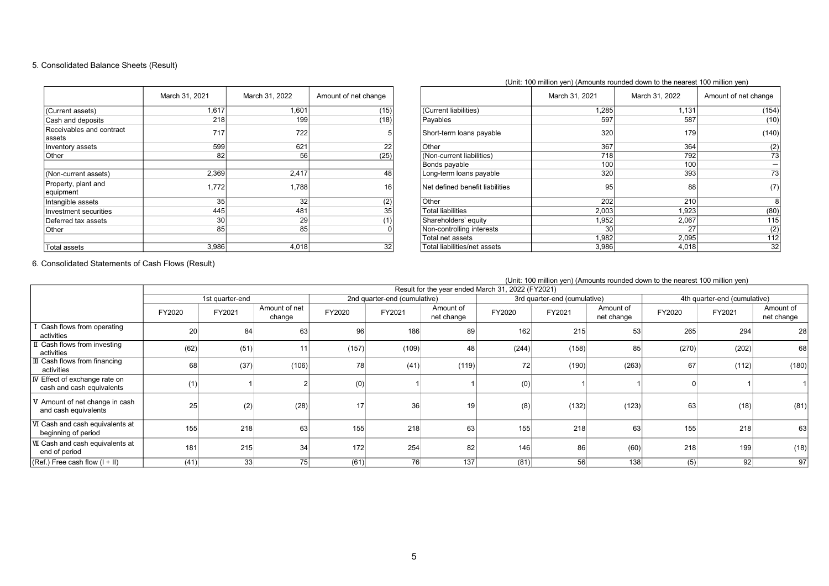### 5. Consolidated Balance Sheets (Result)

|                                    | March 31, 2021 | March 31, 2022 | Amount of net change |
|------------------------------------|----------------|----------------|----------------------|
| (Current assets)                   | 1,617          | 1,601          | (15)                 |
| Cash and deposits                  | 218            | 199            | (18)                 |
| Receivables and contract<br>assets | 717            | 722            | 5                    |
| Inventory assets                   | 599            | 621            | 22                   |
| Other                              | 82             | 56             | (25)                 |
|                                    |                |                |                      |
| (Non-current assets)               | 2,369          | 2,417          | 48                   |
| Property, plant and<br>equipment   | 1,772          | 1,788          | 16                   |
| Intangible assets                  | 35             | 32             | (2)                  |
| Investment securities              | 445            | 481            | 35                   |
| Deferred tax assets                | 30             | 29             | (1)                  |
| Other                              | 85             | 85             |                      |
| Total assets                       | 3,986          | 4,018          | 32                   |

|                 |                                 | March 31, 2021 | March 31, 2022 | Amount of net change |
|-----------------|---------------------------------|----------------|----------------|----------------------|
| $\overline{5)}$ | (Current liabilities)           | 1,285          | 1,131          | (154)                |
| 8)              | Payables                        | 597            | 587            | (10)                 |
| 5               | Short-term loans payable        | 320            | 179            | (140)                |
| 22              | Other                           | 367            | 364            | (2)                  |
| 25)             | (Non-current liabilities)       | 718            | 792            | 73                   |
|                 | Bonds payable                   | 100            | 100            |                      |
| 48              | Long-term loans payable         | 320            | 393            | 73                   |
| 16              | Net defined benefit liabilities | 95             | 88             | (7)                  |
| (2)             | Other                           | 202            | 210            | 8                    |
| 35              | <b>Total liabilities</b>        | 2,003          | 1,923          | (80)                 |
| $\frac{(1)}{0}$ | Shareholders' equity            | 1,952          | 2,067          | 115                  |
|                 | Non-controlling interests       | 30             | 27             | (2)                  |
|                 | Total net assets                | 1,982          | 2,095          | 112                  |
| $\overline{32}$ | Total liabilities/net assets    | 3,986          | 4,018          | 32                   |

6. Consolidated Statements of Cash Flows (Result)

|                                                            |        |                 |                         |        |                              |                         |                                                   |                              |                         | (Unit: 100 million yen) (Amounts rounded down to the nearest 100 million yen) |                              |                         |
|------------------------------------------------------------|--------|-----------------|-------------------------|--------|------------------------------|-------------------------|---------------------------------------------------|------------------------------|-------------------------|-------------------------------------------------------------------------------|------------------------------|-------------------------|
|                                                            |        |                 |                         |        |                              |                         | Result for the year ended March 31, 2022 (FY2021) |                              |                         |                                                                               |                              |                         |
|                                                            |        | 1st quarter-end |                         |        | 2nd quarter-end (cumulative) |                         |                                                   | 3rd quarter-end (cumulative) |                         |                                                                               | 4th quarter-end (cumulative) |                         |
|                                                            | FY2020 | FY2021          | Amount of net<br>change | FY2020 | FY2021                       | Amount of<br>net change | FY2020                                            | FY2021                       | Amount of<br>net change | FY2020                                                                        | FY2021                       | Amount of<br>net change |
| Cash flows from operating<br>activities                    | 20     | 84              | 63                      | 96     | 186                          | 89                      | 162                                               | 215                          | 53                      | 265                                                                           | 294                          | <b>28</b>               |
| II Cash flows from investing<br>activities                 | (62)   | (51)            |                         | (157)  | (109)                        | 48                      | (244)                                             | (158)                        | 85                      | (270)                                                                         | (202)                        | 68                      |
| Ⅲ Cash flows from financing<br>activities                  | 68     | (37)            | (106)                   | 78     | (41)                         | (119)                   | 72                                                | (190)                        | (263)                   | 67                                                                            | (112)                        | (180)                   |
| IV Effect of exchange rate on<br>cash and cash equivalents | (1)    |                 |                         | (0)    |                              |                         | (0)                                               |                              |                         |                                                                               |                              |                         |
| V Amount of net change in cash<br>and cash equivalents     | 25     | (2)             | (28)                    | 17     | 36 <sub>1</sub>              |                         | (8)                                               | (132)                        | (123)                   | 63                                                                            | (18)                         | (81)                    |
| VI Cash and cash equivalents at<br>beginning of period     | 155    | 218             | 63                      | 155    | 218                          | 63                      | 155                                               | 218                          | 63                      | 155                                                                           | 218                          | 63                      |
| VII Cash and cash equivalents at<br>end of period          | 181    | 215             | 34                      | 172    | 254                          | 82                      | 146                                               | 86                           | (60)                    | 218                                                                           | 199                          | (18)                    |
| $(Ref.)$ Free cash flow $(I + II)$                         | (41)   | 33              | 75                      | (61)   | 76                           | 137                     | (81)                                              | 56                           | 138                     | (5)                                                                           | 92                           | 97                      |

(Unit: 100 million yen) (Amounts rounded down to the nearest 100 million yen)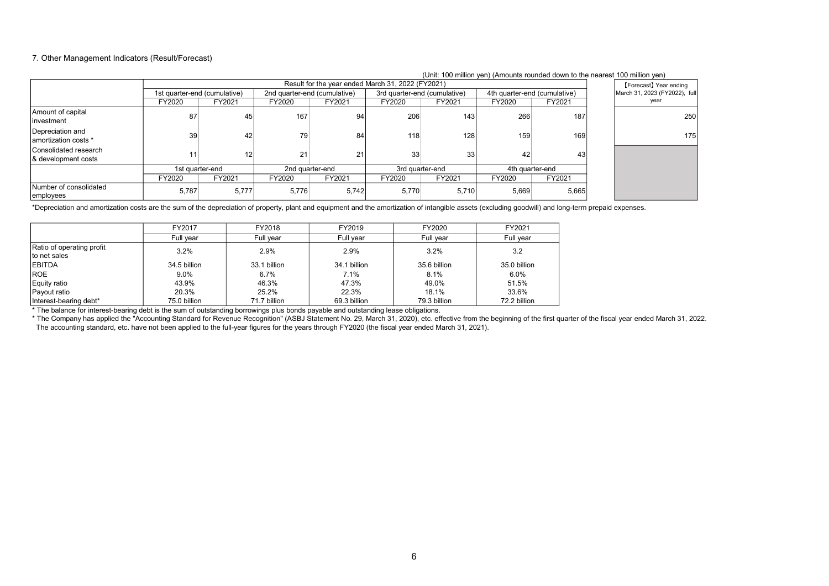#### 7. Other Management Indicators (Result/Forecast)

|                                              |                              |                 |                              |                                                   |                              |                 | (OTHE TOO THINDIT YOU) (ATHOUTILS TOUTIGED GOWLE TO THE HEATEST TOO THINDIT YOU) |        |                               |
|----------------------------------------------|------------------------------|-----------------|------------------------------|---------------------------------------------------|------------------------------|-----------------|----------------------------------------------------------------------------------|--------|-------------------------------|
|                                              |                              |                 |                              | Result for the year ended March 31, 2022 (FY2021) |                              |                 |                                                                                  |        | [Forecast] Year ending        |
|                                              | 1st quarter-end (cumulative) |                 | 2nd quarter-end (cumulative) |                                                   | 3rd quarter-end (cumulative) |                 | 4th quarter-end (cumulative)                                                     |        | March 31, 2023 (FY2022), full |
|                                              | FY2020                       | FY2021          | FY2020                       | FY2021                                            | FY2020                       | FY2021          | FY2020                                                                           | FY2021 | year                          |
| Amount of capital<br>Investment              | 87                           | 45              | 167                          | 94                                                | 206                          | 143             | 266                                                                              | 187    | 250                           |
| Depreciation and<br>amortization costs *     | 39                           | 42              | 79                           | 84                                                | 118                          | 128             | 159                                                                              | 169    | 1751                          |
| Consolidated research<br>& development costs |                              | 12              | 21                           |                                                   | 33                           | 33 <sup>1</sup> | 42                                                                               | 43     |                               |
|                                              |                              | 1st quarter-end | 2nd quarter-end              |                                                   | 3rd quarter-end              |                 | 4th quarter-end                                                                  |        |                               |
|                                              | FY2020                       | FY2021          | FY2020                       | FY2021                                            | FY2020                       | FY2021          | FY2020                                                                           | FY2021 |                               |
| Number of consolidated<br>employees          | 5.787                        | 5,777           | 5,776                        | 5,742                                             | 5,770                        | 5.710           | 5,669                                                                            | 5,665  |                               |

#### (Unit: 100 million yen) (Amounts rounded down to the nearest 100 million yen)

\*Depreciation and amortization costs are the sum of the depreciation of property, plant and equipment and the amortization of intangible assets (excluding goodwill) and long-term prepaid expenses.

|                           | FY2017       | FY2018       | FY2019       | FY2020       | FY2021       |
|---------------------------|--------------|--------------|--------------|--------------|--------------|
|                           | Full year    | Full year    | Full year    | Full year    | Full year    |
| Ratio of operating profit | 3.2%         | 2.9%         | 2.9%         | 3.2%         | 3.2          |
| to net sales              |              |              |              |              |              |
| <b>EBITDA</b>             | 34.5 billion | 33.1 billion | 34.1 billion | 35.6 billion | 35.0 billion |
| <b>ROE</b>                | $9.0\%$      | 6.7%         | 7.1%         | 8.1%         | 6.0%         |
| Equity ratio              | 43.9%        | 46.3%        | 47.3%        | 49.0%        | 51.5%        |
| Payout ratio              | 20.3%        | 25.2%        | 22.3%        | 18.1%        | 33.6%        |
| Interest-bearing debt*    | 75.0 billion | 71.7 billion | 69.3 billion | 79.3 billion | 72.2 billion |

\* The balance for interest-bearing debt is the sum of outstanding borrowings plus bonds payable and outstanding lease obligations.

\* The Company has applied the "Accounting Standard for Revenue Recognition" (ASBJ Statement No. 29, March 31, 2020), etc. effective from the beginning of the first quarter of the fiscal year ended March 31, 2022. The accounting standard, etc. have not been applied to the full-year figures for the years through FY2020 (the fiscal year ended March 31, 2021).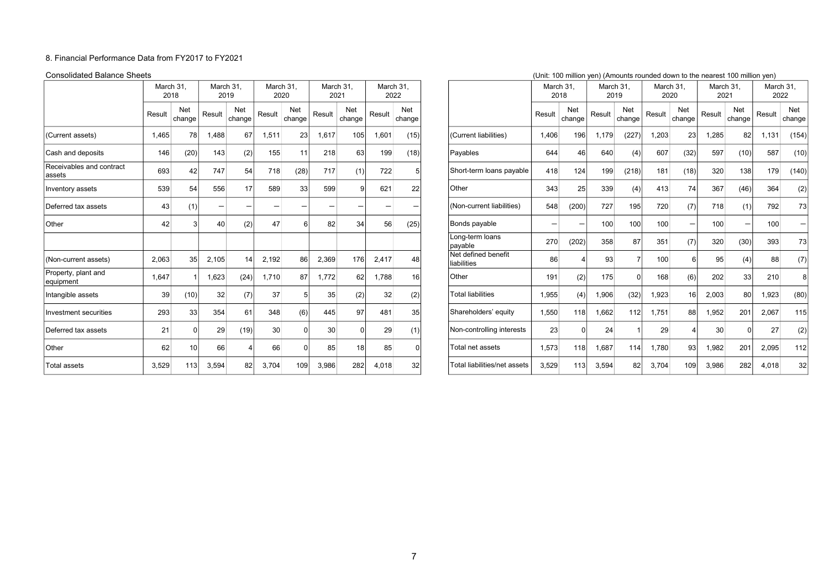#### 8. Financial Performance Data from FY2017 to FY2021

|                                    | March 31,<br>2018 |                      |                          |               | March 31,<br>2019 |               | March 31,<br>2020 |               | March 31,<br>2021        |                 | March 31.                          | 2022   |                 | March 31<br>2018 |               | March 31,<br>2019 |                 | March 31<br>2020 |               | March 31.<br>2021 |                            | March 31 | 2022 |
|------------------------------------|-------------------|----------------------|--------------------------|---------------|-------------------|---------------|-------------------|---------------|--------------------------|-----------------|------------------------------------|--------|-----------------|------------------|---------------|-------------------|-----------------|------------------|---------------|-------------------|----------------------------|----------|------|
|                                    | Result            | <b>Net</b><br>change | Result                   | Net<br>change | Result            | Net<br>change | Result            | Net<br>change | Result                   | Net<br>change   |                                    | Result | Net<br>change   | Result           | Net<br>change | Result            | Net<br>change   | Result           | Net<br>change | Result            | Net<br>change <sup>1</sup> |          |      |
| (Current assets)                   | 1,465             | 78                   | .488                     | 67            | 1,511             | 23            | 1,617             | 105           | 1,601                    | (15)            | (Current liabilities)              | 1,406  | 196             | 1,179            | (227)         | 1,203             | 23              | 1,285            | 82            | 1,131             | (154)                      |          |      |
| Cash and deposits                  | 146               | (20)                 | 143                      | (2)           | 155               | 11            | 218               | 63            | 199                      | (18)            | Payables                           | 644    | 46              | 640              | (4)           | 607               | (32)            | 597              | (10)          | 587               | (10)                       |          |      |
| Receivables and contract<br>assets | 693               | 42                   | 747                      | 54            | 718               | (28)          | 717               | (1)           | 722                      |                 | Short-term loans payable           | 418    | 124             | 199              | (218)         | 181               | (18)            | 320              | 138           | 179               | (140)                      |          |      |
| Inventory assets                   | 539               | 54                   | 556                      | 17            | 589               | 33            | 599               | a             | 621                      | 22              | Other                              | 343    | 25              | 339              | (4)           | 413               | 74              | 367              | (46)          | 364               | (2)                        |          |      |
| Deferred tax assets                | 43                | (1)                  | $\overline{\phantom{0}}$ |               |                   |               |                   |               | $\overline{\phantom{0}}$ |                 | (Non-current liabilities)          | 548    | (200)           | 727              | 195           | 720               | (7)             | 718              | (1)           | 792               | 73                         |          |      |
| Other                              | 42                |                      | 40                       | (2)           | 47                |               | 82                | 34            | 56                       | (25)            | Bonds payable                      |        | $\qquad \qquad$ | 100              | 100           | 100               |                 | 100              | -             | 100               |                            |          |      |
|                                    |                   |                      |                          |               |                   |               |                   |               |                          |                 | Long-term loans<br>payable         | 270    | (202)           | 358              | 87            | 351               | (7)             | 320              | (30)          | 393               | 73                         |          |      |
| (Non-current assets)               | 2,063             | 35                   | 2,105                    | 14            | 2,192             | 86            | 2,369             | 176           | 2,417                    | 48              | Net defined benefit<br>liabilities | 86     |                 | 93               |               | 100               |                 | 95               | (4)           | 88                | (7)                        |          |      |
| Property, plant and<br>equipment   | 1,647             |                      | 1,623                    | (24)          | 1,710             | 87            | 1,772             | 62            | 1,788                    | 16 <sup>1</sup> | Other                              | 191    | (2)             | 175              |               | 168               | (6)             | 202              | 33            | 210               | 8 <sup>1</sup>             |          |      |
| Intangible assets                  | 39                | (10)                 | 32                       | (7)           | 37                |               | 35                | (2)           | 32                       | (2)             | <b>Total liabilities</b>           | 1,955  | (4)             | 1,906            | (32)          | 1,923             | 16 <sup>1</sup> | 2,003            | 80            | 1,923             | (80)                       |          |      |
| Investment securities              | 293               | 33                   | 354                      | 61            | 348               | (6)           | 445               | 97            | 481                      | 35              | Shareholders' equity               | 1,550  | 118             | 1,662            | 112           | 1,751             | 88              | 1,952            | 201           | 2,067             | 115                        |          |      |
| Deferred tax assets                | 21                |                      | 29                       | (19)          | 30 <sup>1</sup>   |               | 30 <sup>°</sup>   |               | 29                       | (1)             | Non-controlling interests          | 23     |                 | 24               |               | 29                |                 | 30               |               | 27                | (2)                        |          |      |
| Other                              | 62                | 10 <sup>1</sup>      | 66                       |               | 66                | $\Omega$      | 85                | 18            | 85                       |                 | Total net assets                   | 1,573  | 118             | 1,687            | 114           | 1,780             | 93              | 1,982            | 201           | 2,095             | 112                        |          |      |
| <b>Total assets</b>                | 3,529             | 113                  | 3,594                    | 82            | 3,704             | 109           | 3,986             | 282           | 4,018                    | 32              | Total liabilities/net assets       | 3,529  | 113             | 3,594            | 82            | 3,704             | 109             | 3,986            | 282           | 4,018             | 32                         |          |      |

| <b>Consolidated Balance Sheets</b> |                   |                 |                          |                      |                   |               |                  |                      |                   |               |                                    |                   |                          |                   |                      | (Unit: 100 million yen) (Amounts rounded down to the nearest 100 million yen) |               |                   |               |                   |                            |
|------------------------------------|-------------------|-----------------|--------------------------|----------------------|-------------------|---------------|------------------|----------------------|-------------------|---------------|------------------------------------|-------------------|--------------------------|-------------------|----------------------|-------------------------------------------------------------------------------|---------------|-------------------|---------------|-------------------|----------------------------|
|                                    | March 31.<br>2018 |                 | March 31.<br>2019        |                      | March 31.<br>2020 |               | March 31<br>2021 |                      | March 31,<br>2022 |               |                                    | March 31.<br>2018 |                          | March 31.<br>2019 |                      | March 31.<br>2020                                                             |               | March 31.<br>2021 |               | March 31.<br>2022 |                            |
|                                    | Result            | Net<br>change   | Result                   | <b>Net</b><br>change | Result            | Net<br>change | Result           | <b>Net</b><br>change | Result            | Net<br>change |                                    | Result            | Net<br>change            | Result            | <b>Net</b><br>change | Result                                                                        | Net<br>change | Result            | Net<br>change | Result            | Net<br>change <sup>!</sup> |
| (Current assets)                   | 1,465             | 78              | 1,488                    | 67                   | 1,511             | 23            | 1,617            | 105                  | 1,601             | (15)          | (Current liabilities)              | 1,406             | 196                      | 1.179             | (227)                | 1,203                                                                         | 23            | 1,285             | 82            | 1,131             | (154)                      |
| Cash and deposits                  | 146               | (20)            | 143                      | (2)                  | 155               | 11            | 218              | 63                   | 199               | (18)          | Payables                           | 644               | 46                       | 640               | (4)                  | 607                                                                           | (32)          | 597               | (10)          | 587               | (10)                       |
| Receivables and contract<br>assets | 693               | 42              | 747                      | 54                   | 718               | (28)          | 717              | (1)                  | 722               |               | Short-term loans payable           | 418               | 124                      | 199               | (218)                | 181                                                                           | (18)          | 320               | 138           | 179               | (140)                      |
| Inventory assets                   | 539               | 54              | 556                      | 17                   | 589               | 33            | 599              | $\Omega$             | 621               | 22            | Other                              | 343               | 25                       | 339               | (4)                  | 413                                                                           | 74            | 367               | (46)          | 364               | (2)                        |
| Deferred tax assets                | 43                | (1)             | $\overline{\phantom{0}}$ |                      |                   |               |                  |                      |                   |               | (Non-current liabilities)          | 548               | (200)                    | 727               | 195                  | 720                                                                           | (7)           | 718               | (1)           | 792               | 73                         |
| Other                              | 42                |                 | 40                       | (2)                  | 47                | $\epsilon$    | 82               | 34                   | 56                | (25)          | Bonds payable                      |                   | $\overline{\phantom{0}}$ | 100               | 100                  | 100                                                                           |               | 100               |               | 100               | $-$                        |
|                                    |                   |                 |                          |                      |                   |               |                  |                      |                   |               | Long-term loans<br>payable         | 270               | (202)                    | 358               | 87                   | 351                                                                           | (7)           | 320               | (30)          | 393               | 73                         |
| (Non-current assets)               | 2,063             | 35              | 2,105                    | 14                   | 2,192             | 86            | 2,369            | 176                  | 2,417             | 48            | Net defined benefit<br>liabilities | 86                |                          | 93                |                      | 100                                                                           | 6             | 95                | (4)           | 88                | (7)                        |
| Property, plant and<br>equipment   | 1,647             |                 | 1,623                    | (24)                 | 1,710             | 87            | 1,772            | 62                   | 1,788             | 16            | Other                              | 191               | (2)                      | 175               |                      | 168                                                                           | (6)           | 202               | 33            | 210               |                            |
| Intangible assets                  | 39                | (10)            | 32                       | (7)                  | 37                |               | 35               | (2)                  | 32                | (2)           | <b>Total liabilities</b>           | 1,955             | (4)                      | 1,906             | (32)                 | 1,923                                                                         | 16            | 2,003             | 80 l          | 1,923             | (80)                       |
| Investment securities              | 293               | 33              | 354                      | 61                   | 348               | (6)           | 445              | 97                   | 481               | 35            | Shareholders' equity               | 1,550             | 118                      | 1,662             | 112                  | 1,751                                                                         | 88            | 1,952             | 201           | 2,067             | 115                        |
| Deferred tax assets                | 21                |                 | 29                       | (19)                 | 30                |               | 30               |                      | 29                | (1)           | Non-controlling interests          | 23                |                          | 24                |                      | 29                                                                            |               | 30                | <sup>n</sup>  | 27                | (2)                        |
| Other                              | 62                | 10 <sup>1</sup> | 66                       |                      | 66                |               | 85               | 18                   | 85                | $\Omega$      | Total net assets                   | 1,573             | 118                      | 1.687             | 114                  | 1.780                                                                         | 93            | 1,982             | 201           | 2,095             | 112                        |
| <b>Total assets</b>                | 3,529             | 113             | 3.594                    | 82                   | 3,704             | 109           | 3,986            | 282                  | 4,018             | 32            | Total liabilities/net assets       | 3,529             | 113                      | 3,594             | 82                   | 3,704                                                                         | 109           | 3,986             | 282           | 4,018             | 32                         |

### 7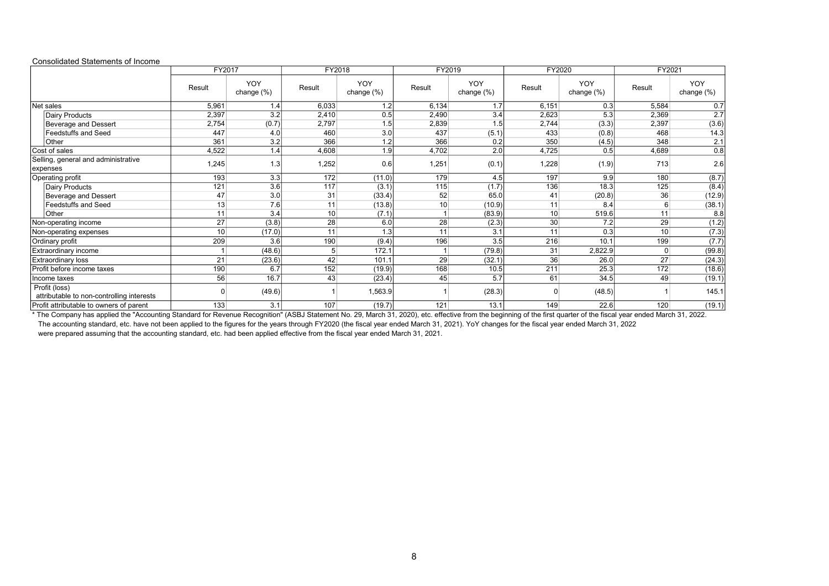| טוווסטוועמנטט טנמנטוווטוונט טו ווויסטוווט                  | FY2017 |                   | FY2018 |                          | FY2019         |                          | FY2020 |                          | FY2021          |                   |  |
|------------------------------------------------------------|--------|-------------------|--------|--------------------------|----------------|--------------------------|--------|--------------------------|-----------------|-------------------|--|
|                                                            | Result | YOY<br>change (%) | Result | <b>YOY</b><br>change (%) | Result         | <b>YOY</b><br>change (%) | Result | <b>YOY</b><br>change (%) | Result          | YOY<br>change (%) |  |
| Net sales                                                  | 5,961  | 1.4               | 6,033  | 1.2                      | 6,134          | 1.7                      | 6,151  | 0.3                      | 5,584           | 0.7               |  |
| Dairy Products                                             | 2,397  | 3.2               | 2,410  | 0.5                      | 2,490          | 3.4                      | 2,623  | 5.3                      | 2,369           | 2.7               |  |
| <b>Beverage and Dessert</b>                                | 2,754  | (0.7)             | 2,797  | 1.5                      | 2,839          | 1.5                      | 2,744  | (3.3)                    | 2,397           | (3.6)             |  |
| <b>Feedstuffs and Seed</b>                                 | 447    | 4.0               | 460    | 3.0                      | 437            | (5.1)                    | 433    | (0.8)                    | 468             | 14.3              |  |
| Other                                                      | 361    | 3.2               | 366    | 1.2                      | 366            | 0.2                      | 350    | (4.5)                    | 348             | 2.1               |  |
| Cost of sales                                              | 4,522  | 1.4               | 4,608  | 1.9                      | 4,702          | 2.0                      | 4,725  | 0.5                      | 4,689           | 0.8               |  |
| Selling, general and administrative<br>expenses            | 1,245  | 1.3               | 1,252  | 0.6                      | 1,251          | (0.1)                    | 1,228  | (1.9)                    | 713             | 2.6               |  |
| Operating profit                                           | 193    | 3.3               | 172    | (11.0)                   | 179            | 4.5                      | 197    | 9.9                      | 180             | (8.7)             |  |
| Dairy Products                                             | 121    | $\overline{3.6}$  | 117    | (3.1)                    | 115            | (1.7)                    | 136    | 18.3                     | 125             | (8.4)             |  |
| <b>Beverage and Dessert</b>                                | 47     | 3.0               | 31     | (33.4)                   | 52             | 65.0                     | 41     | (20.8)                   | 36              | (12.9)            |  |
| <b>Feedstuffs and Seed</b>                                 | 13     | 7.6               | 11     | (13.8)                   | 10             | (10.9)                   | 11     | 8.4                      | 6               | (38.1)            |  |
| Other                                                      | 11     | 3.4               | 10     | (7.1)                    |                | (83.9)                   | 10     | 519.6                    | 11              | 8.8               |  |
| Non-operating income                                       | 27     | (3.8)             | 28     | 6.0                      | 28             | (2.3)                    | 30     | 7.2                      | 29              | (1.2)             |  |
| Non-operating expenses                                     | 10     | (17.0)            | 11     | 1.3                      | 11             | 3.1                      | 11     | 0.3                      | 10 <sup>1</sup> | (7.3)             |  |
| Ordinary profit                                            | 209    | 3.6               | 190    | (9.4)                    | 196            | 3.5                      | 216    | 10.1                     | 199             | (7.7)             |  |
| Extraordinary income                                       |        | (48.6)            | 5      | 172.1                    | $\overline{1}$ | (79.8)                   | 31     | 2,822.9                  | $\overline{0}$  | (99.8)            |  |
| <b>Extraordinary loss</b>                                  | 21     | (23.6)            | 42     | 101.1                    | 29             | (32.1)                   | 36     | 26.0                     | 27              | (24.3)            |  |
| Profit before income taxes                                 | 190    | 6.7               | 152    | (19.9)                   | 168            | 10.5                     | 211    | 25.3                     | 172             | (18.6)            |  |
| Income taxes                                               | 56     | 16.7              | 43     | (23.4)                   | 45             | 5.7                      | 61     | 34.5                     | 49              | (19.1)            |  |
| Profit (loss)<br>attributable to non-controlling interests |        | (49.6)            |        | 1,563.9                  |                | (28.3)                   | O      | (48.5)                   |                 | 145.1             |  |
| Profit attributable to owners of parent                    | 133    | 3.1               | 107    | (19.7)                   | 121            | 13.1                     | 149    | 22.6                     | 120             | (19.1)            |  |

Consolidated Statements of Income

\* The Company has applied the "Accounting Standard for Revenue Recognition" (ASBJ Statement No. 29, March 31, 2020), etc. effective from the beginning of the first quarter of the fiscal year ended March 31, 2022. The accounting standard, etc. have not been applied to the figures for the years through FY2020 (the fiscal year ended March 31, 2021). YoY changes for the fiscal year ended March 31, 2022 were prepared assuming that the accounting standard, etc. had been applied effective from the fiscal year ended March 31, 2021.